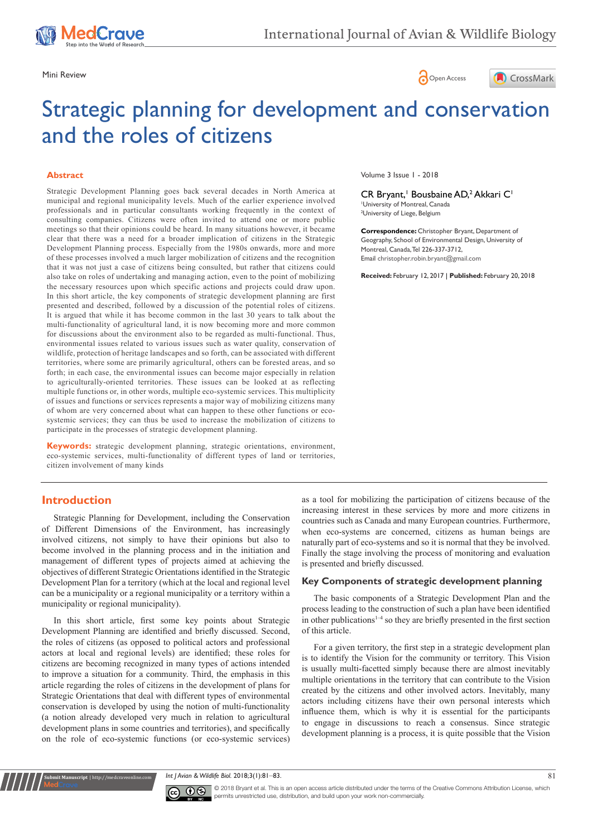





# Strategic planning for development and conservation and the roles of citizens

#### **Abstract**

Strategic Development Planning goes back several decades in North America at municipal and regional municipality levels. Much of the earlier experience involved professionals and in particular consultants working frequently in the context of consulting companies. Citizens were often invited to attend one or more public meetings so that their opinions could be heard. In many situations however, it became clear that there was a need for a broader implication of citizens in the Strategic Development Planning process. Especially from the 1980s onwards, more and more of these processes involved a much larger mobilization of citizens and the recognition that it was not just a case of citizens being consulted, but rather that citizens could also take on roles of undertaking and managing action, even to the point of mobilizing the necessary resources upon which specific actions and projects could draw upon. In this short article, the key components of strategic development planning are first presented and described, followed by a discussion of the potential roles of citizens. It is argued that while it has become common in the last 30 years to talk about the multi-functionality of agricultural land, it is now becoming more and more common for discussions about the environment also to be regarded as multi-functional. Thus, environmental issues related to various issues such as water quality, conservation of wildlife, protection of heritage landscapes and so forth, can be associated with different territories, where some are primarily agricultural, others can be forested areas, and so forth; in each case, the environmental issues can become major especially in relation to agriculturally-oriented territories. These issues can be looked at as reflecting multiple functions or, in other words, multiple eco-systemic services. This multiplicity of issues and functions or services represents a major way of mobilizing citizens many of whom are very concerned about what can happen to these other functions or ecosystemic services; they can thus be used to increase the mobilization of citizens to participate in the processes of strategic development planning.

**Keywords:** strategic development planning, strategic orientations, environment, eco-systemic services, multi-functionality of different types of land or territories, citizen involvement of many kinds

# **Introduction**

**it Manuscript** | http://medcraveonline.

Strategic Planning for Development, including the Conservation of Different Dimensions of the Environment, has increasingly involved citizens, not simply to have their opinions but also to become involved in the planning process and in the initiation and management of different types of projects aimed at achieving the objectives of different Strategic Orientations identified in the Strategic Development Plan for a territory (which at the local and regional level can be a municipality or a regional municipality or a territory within a municipality or regional municipality).

In this short article, first some key points about Strategic Development Planning are identified and briefly discussed. Second, the roles of citizens (as opposed to political actors and professional actors at local and regional levels) are identified; these roles for citizens are becoming recognized in many types of actions intended to improve a situation for a community. Third, the emphasis in this article regarding the roles of citizens in the development of plans for Strategic Orientations that deal with different types of environmental conservation is developed by using the notion of multi-functionality (a notion already developed very much in relation to agricultural development plans in some countries and territories), and specifically on the role of eco-systemic functions (or eco-systemic services)

Volume 3 Issue 1 - 2018

CR Bryant,<sup>1</sup> Bousbaine AD,<sup>2</sup> Akkari C<sup>1</sup> 1 University of Montreal, Canada <sup>2</sup>University of Liege, Belgium

**Correspondence:** Christopher Bryant, Department of Geography, School of Environmental Design, University of Montreal, Canada, Tel 226-337-3712, Email christopher.robin.bryant@gmail.com

**Received:** February 12, 2017 | **Published:** February 20, 2018

as a tool for mobilizing the participation of citizens because of the increasing interest in these services by more and more citizens in countries such as Canada and many European countries. Furthermore, when eco-systems are concerned, citizens as human beings are naturally part of eco-systems and so it is normal that they be involved. Finally the stage involving the process of monitoring and evaluation is presented and briefly discussed.

#### **Key Components of strategic development planning**

The basic components of a Strategic Development Plan and the process leading to the construction of such a plan have been identified in other publications<sup>1-4</sup> so they are briefly presented in the first section of this article.

For a given territory, the first step in a strategic development plan is to identify the Vision for the community or territory. This Vision is usually multi-facetted simply because there are almost inevitably multiple orientations in the territory that can contribute to the Vision created by the citizens and other involved actors. Inevitably, many actors including citizens have their own personal interests which influence them, which is why it is essential for the participants to engage in discussions to reach a consensus. Since strategic development planning is a process, it is quite possible that the Vision

*Int J Avian & Wildlife Biol.* 2018;3(1):81‒83. 81



© 2018 Bryant et al. This is an open access article distributed under the terms of the [Creative Commons Attribution License,](https://creativecommons.org/licenses/by-nc/4.0/) which permits unrestricted use, distribution, and build upon your work non-commercially.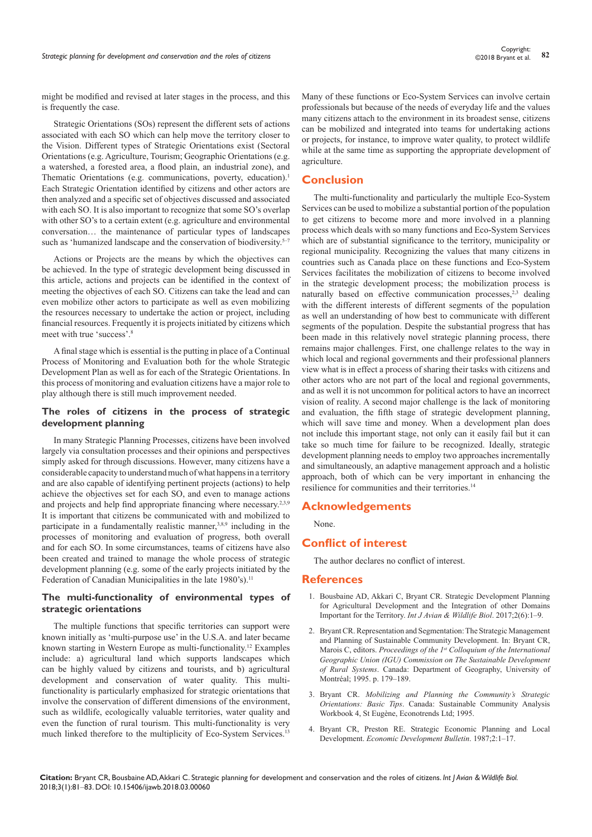might be modified and revised at later stages in the process, and this is frequently the case.

Strategic Orientations (SOs) represent the different sets of actions associated with each SO which can help move the territory closer to the Vision. Different types of Strategic Orientations exist (Sectoral Orientations (e.g. Agriculture, Tourism; Geographic Orientations (e.g. a watershed, a forested area, a flood plain, an industrial zone), and Thematic Orientations (e.g. communications, poverty, education).<sup>1</sup> Each Strategic Orientation identified by citizens and other actors are then analyzed and a specific set of objectives discussed and associated with each SO. It is also important to recognize that some SO's overlap with other SO's to a certain extent (e.g. agriculture and environmental conversation… the maintenance of particular types of landscapes such as 'humanized landscape and the conservation of biodiversity. $5-7$ 

Actions or Projects are the means by which the objectives can be achieved. In the type of strategic development being discussed in this article, actions and projects can be identified in the context of meeting the objectives of each SO. Citizens can take the lead and can even mobilize other actors to participate as well as even mobilizing the resources necessary to undertake the action or project, including financial resources. Frequently it is projects initiated by citizens which meet with true 'success'.8

A final stage which is essential is the putting in place of a Continual Process of Monitoring and Evaluation both for the whole Strategic Development Plan as well as for each of the Strategic Orientations. In this process of monitoring and evaluation citizens have a major role to play although there is still much improvement needed.

## **The roles of citizens in the process of strategic development planning**

In many Strategic Planning Processes, citizens have been involved largely via consultation processes and their opinions and perspectives simply asked for through discussions. However, many citizens have a considerable capacity to understand much of what happens in a territory and are also capable of identifying pertinent projects (actions) to help achieve the objectives set for each SO, and even to manage actions and projects and help find appropriate financing where necessary.2,3,9 It is important that citizens be communicated with and mobilized to participate in a fundamentally realistic manner, $3,8,9$  including in the processes of monitoring and evaluation of progress, both overall and for each SO. In some circumstances, teams of citizens have also been created and trained to manage the whole process of strategic development planning (e.g. some of the early projects initiated by the Federation of Canadian Municipalities in the late 1980's).<sup>11</sup>

## **The multi-functionality of environmental types of strategic orientations**

The multiple functions that specific territories can support were known initially as 'multi-purpose use' in the U.S.A. and later became known starting in Western Europe as multi-functionality.12 Examples include: a) agricultural land which supports landscapes which can be highly valued by citizens and tourists, and b) agricultural development and conservation of water quality. This multifunctionality is particularly emphasized for strategic orientations that involve the conservation of different dimensions of the environment, such as wildlife, ecologically valuable territories, water quality and even the function of rural tourism. This multi-functionality is very much linked therefore to the multiplicity of Eco-System Services.<sup>13</sup> Many of these functions or Eco-System Services can involve certain professionals but because of the needs of everyday life and the values many citizens attach to the environment in its broadest sense, citizens can be mobilized and integrated into teams for undertaking actions or projects, for instance, to improve water quality, to protect wildlife while at the same time as supporting the appropriate development of agriculture.

## **Conclusion**

The multi-functionality and particularly the multiple Eco-System Services can be used to mobilize a substantial portion of the population to get citizens to become more and more involved in a planning process which deals with so many functions and Eco-System Services which are of substantial significance to the territory, municipality or regional municipality. Recognizing the values that many citizens in countries such as Canada place on these functions and Eco-System Services facilitates the mobilization of citizens to become involved in the strategic development process; the mobilization process is naturally based on effective communication processes,<sup>2,3</sup> dealing with the different interests of different segments of the population as well an understanding of how best to communicate with different segments of the population. Despite the substantial progress that has been made in this relatively novel strategic planning process, there remains major challenges. First, one challenge relates to the way in which local and regional governments and their professional planners view what is in effect a process of sharing their tasks with citizens and other actors who are not part of the local and regional governments, and as well it is not uncommon for political actors to have an incorrect vision of reality. A second major challenge is the lack of monitoring and evaluation, the fifth stage of strategic development planning, which will save time and money. When a development plan does not include this important stage, not only can it easily fail but it can take so much time for failure to be recognized. Ideally, strategic development planning needs to employ two approaches incrementally and simultaneously, an adaptive management approach and a holistic approach, both of which can be very important in enhancing the resilience for communities and their territories.<sup>14</sup>

#### **Acknowledgements**

None.

# **Conflict of interest**

The author declares no conflict of interest.

#### **References**

- 1. [Bousbaine AD, Akkari C, Bryant CR. Strategic Development Planning](http://medcraveonline.com/IJAWB/IJAWB-02-00038.php)  for Agricultural [Development and the Integration of other Domains](http://medcraveonline.com/IJAWB/IJAWB-02-00038.php) [Important for the Territory.](http://medcraveonline.com/IJAWB/IJAWB-02-00038.php) *Int J Avian & Wildlife Biol*. 2017;2(6):1–9.
- 2. Bryant CR. Representation and Segmentation: The Strategic Management and Planning of Sustainable Community Development. In: Bryant CR, Marois C, editors. *Proceedings of the 1st Colloquium of the International Geographic Union (IGU) Commission on The Sustainable Development of Rural Systems*. Canada: Department of Geography, University of Montréal; 1995. p. 179–189.
- 3. Bryant CR. *Mobilizing and Planning the Community's Strategic Orientations: Basic Tips*. Canada: Sustainable Community Analysis Workbook 4, St Eugène, Econotrends Ltd; 1995.
- 4. Bryant CR, Preston RE. Strategic Economic Planning and Local Development. *Economic Development Bulletin*. 1987;2:1–17.